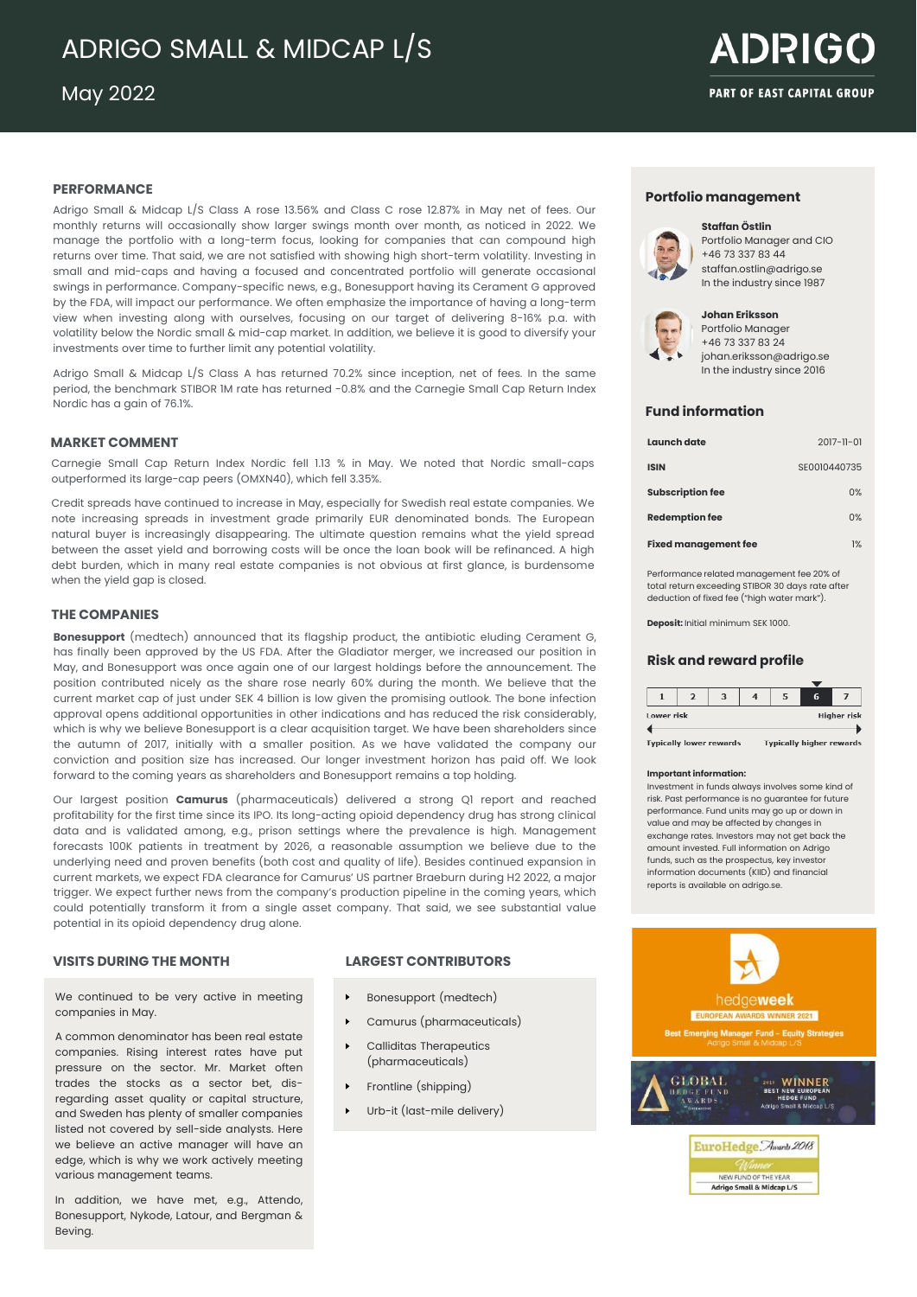# ADRIGO SMALL & MIDCAP L/S

May 2022

# **ADRIGO PART OF EAST CAPITAL GROUP**

# **PERFORMANCE**

Adrigo Small & Midcap L/S Class A rose 13.56% and Class C rose 12.87% in May net of fees. Our monthly returns will occasionally show larger swings month over month, as noticed in 2022. We manage the portfolio with a long-term focus, looking for companies that can compound high returns over time. That said, we are not satisfied with showing high short-term volatility. Investing in small and mid-caps and having a focused and concentrated portfolio will generate occasional swings in performance. Company-specific news, e.g., Bonesupport having its Cerament G approved by the FDA, will impact our performance. We often emphasize the importance of having a long-term view when investing along with ourselves, focusing on our target of delivering 8-16% p.a. with volatility below the Nordic small & mid-cap market. In addition, we believe it is good to diversify your investments over time to further limit any potential volatility.

Adrigo Small & Midcap L/S Class A has returned 70.2% since inception, net of fees. In the same period, the benchmark STIBOR 1M rate has returned -0.8% and the Carnegie Small Cap Return Index Nordic has a gain of 76.1%.

# **MARKET COMMENT**

Carnegie Small Cap Return Index Nordic fell 1.13 % in May. We noted that Nordic small-caps outperformed its large-cap peers (OMXN40), which fell 3.35%.

Credit spreads have continued to increase in May, especially for Swedish real estate companies. We note increasing spreads in investment grade primarily EUR denominated bonds. The European natural buyer is increasingly disappearing. The ultimate question remains what the yield spread between the asset yield and borrowing costs will be once the loan book will be refinanced. A high debt burden, which in many real estate companies is not obvious at first glance, is burdensome when the yield gap is closed.

# **THE COMPANIES**

**Bonesupport** (medtech) announced that its flagship product, the antibiotic eluding Cerament G, has finally been approved by the US FDA. After the Gladiator merger, we increased our position in May, and Bonesupport was once again one of our largest holdings before the announcement. The position contributed nicely as the share rose nearly 60% during the month. We believe that the current market cap of just under SEK 4 billion is low given the promising outlook. The bone infection approval opens additional opportunities in other indications and has reduced the risk considerably, which is why we believe Bonesupport is a clear acquisition target. We have been shareholders since the autumn of 2017, initially with a smaller position. As we have validated the company our conviction and position size has increased. Our longer investment horizon has paid off. We look forward to the coming years as shareholders and Bonesupport remains a top holding.

Our largest position **Camurus** (pharmaceuticals) delivered a strong Q1 report and reached profitability for the first time since its IPO. Its long-acting opioid dependency drug has strong clinical data and is validated among, e.g., prison settings where the prevalence is high. Management forecasts 100K patients in treatment by 2026, a reasonable assumption we believe due to the underlying need and proven benefits (both cost and quality of life). Besides continued expansion in current markets, we expect FDA clearance for Camurus' US partner Braeburn during H2 2022, a major trigger. We expect further news from the company's production pipeline in the coming years, which could potentially transform it from a single asset company. That said, we see substantial value potential in its opioid dependency drug alone.

We continued to be very active in meeting companies in May.

A common denominator has been real estate companies. Rising interest rates have put pressure on the sector. Mr. Market often trades the stocks as a sector bet, disregarding asset quality or capital structure, and Sweden has plenty of smaller companies listed not covered by sell-side analysts. Here we believe an active manager will have an edge, which is why we work actively meeting various management teams.

In addition, we have met, e.g., Attendo, Bonesupport, Nykode, Latour, and Bergman & Beving.

# **VISITS DURING THE MONTH LARGEST CONTRIBUTORS**

- Bonesupport (medtech)
- Camurus (pharmaceuticals)
- Calliditas Therapeutics (pharmaceuticals)
- Frontline (shipping)
- Urb-it (last-mile delivery)

# **Portfolio management**



**Staffan Östlin** Portfolio Manager and CIO +46 73 337 83 44 staffan.ostlin@adrigo.se In the industry since 1987



**Johan Eriksson** Portfolio Manager +46 73 337 83 24 johan.eriksson@adrigo.se In the industry since 2016

# **Fund information**

| Launch date                 | $2017 - 11 - 01$ |
|-----------------------------|------------------|
| <b>ISIN</b>                 | SE0010440735     |
| <b>Subscription fee</b>     | 0%               |
| <b>Redemption fee</b>       | 0%               |
| <b>Fixed management fee</b> | 1%               |

Performance related management fee 20% of total return exceeding STIBOR 30 days rate after deduction of fixed fee ("high water mark").

**Deposit:** Initial minimum SEK 1000.

## **Risk and reward profile**

|            |  | 3 |                    | 6 |  |
|------------|--|---|--------------------|---|--|
| Lower risk |  |   | <b>Higher risk</b> |   |  |
|            |  |   |                    |   |  |

**Tynically lower rewards Tynically higher rewards** 

### **Important information:**

Investment in funds always involves some kind of risk. Past performance is no guarantee for future performance. Fund units may go up or down in value and may be affected by changes in exchange rates. Investors may not get back the amount invested. Full information on Adrigo funds, such as the prospectus, key investor information documents (KIID) and financial reports is available on adrigo.se.



NEW FUND OF T Adrigo Small & Midcap L/S